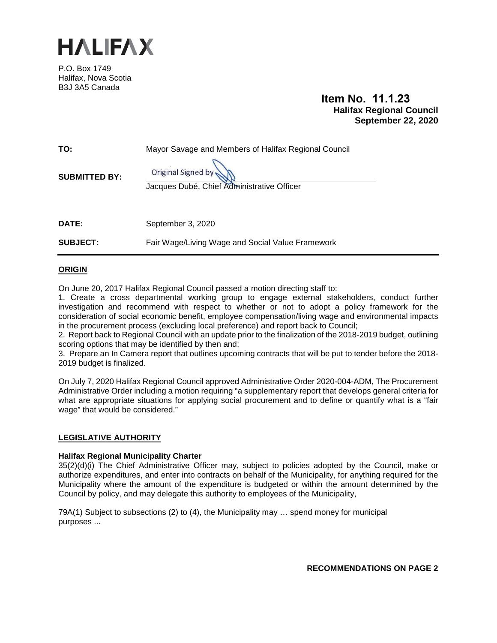

P.O. Box 1749 Halifax, Nova Scotia B3J 3A5 Canada

# **Item No. 11.1.23 Halifax Regional Council September 22, 2020**

| Original Signed by<br><b>SUBMITTED BY:</b><br>Jacques Dubé, Chief Administrative Officer |  |
|------------------------------------------------------------------------------------------|--|
|                                                                                          |  |
| <b>DATE:</b><br>September 3, 2020                                                        |  |
| <b>SUBJECT:</b><br>Fair Wage/Living Wage and Social Value Framework                      |  |

## **ORIGIN**

On June 20, 2017 Halifax Regional Council passed a motion directing staff to:

1. Create a cross departmental working group to engage external stakeholders, conduct further investigation and recommend with respect to whether or not to adopt a policy framework for the consideration of social economic benefit, employee compensation/living wage and environmental impacts in the procurement process (excluding local preference) and report back to Council;

2. Report back to Regional Council with an update prior to the finalization of the 2018-2019 budget, outlining scoring options that may be identified by then and;

3. Prepare an In Camera report that outlines upcoming contracts that will be put to tender before the 2018- 2019 budget is finalized.

On July 7, 2020 Halifax Regional Council approved Administrative Order 2020-004-ADM, The Procurement Administrative Order including a motion requiring "a supplementary report that develops general criteria for what are appropriate situations for applying social procurement and to define or quantify what is a "fair wage" that would be considered."

#### **LEGISLATIVE AUTHORITY**

#### **Halifax Regional Municipality Charter**

35(2)(d)(i) The Chief Administrative Officer may, subject to policies adopted by the Council, make or authorize expenditures, and enter into contracts on behalf of the Municipality, for anything required for the Municipality where the amount of the expenditure is budgeted or within the amount determined by the Council by policy, and may delegate this authority to employees of the Municipality,

79A(1) Subject to subsections (2) to (4), the Municipality may … spend money for municipal purposes ...

**RECOMMENDATIONS ON PAGE 2**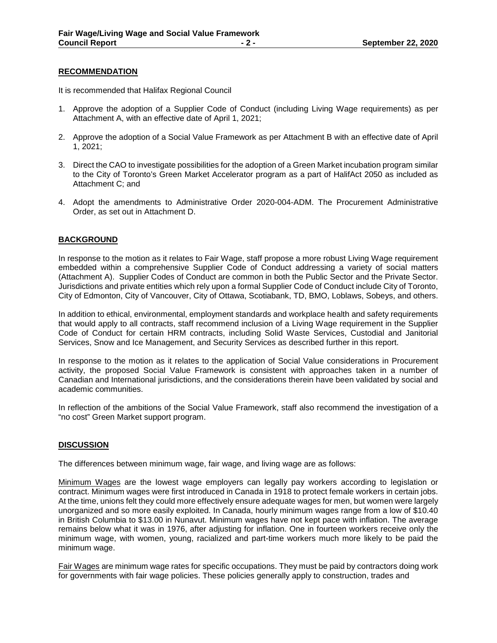#### **RECOMMENDATION**

It is recommended that Halifax Regional Council

- 1. Approve the adoption of a Supplier Code of Conduct (including Living Wage requirements) as per Attachment A, with an effective date of April 1, 2021;
- 2. Approve the adoption of a Social Value Framework as per Attachment B with an effective date of April 1, 2021;
- 3. Direct the CAO to investigate possibilities for the adoption of a Green Market incubation program similar to the City of Toronto's Green Market Accelerator program as a part of HalifAct 2050 as included as Attachment C; and
- 4. Adopt the amendments to Administrative Order 2020-004-ADM. The Procurement Administrative Order, as set out in Attachment D.

#### **BACKGROUND**

In response to the motion as it relates to Fair Wage, staff propose a more robust Living Wage requirement embedded within a comprehensive Supplier Code of Conduct addressing a variety of social matters (Attachment A). Supplier Codes of Conduct are common in both the Public Sector and the Private Sector. Jurisdictions and private entities which rely upon a formal Supplier Code of Conduct include City of Toronto, City of Edmonton, City of Vancouver, City of Ottawa, Scotiabank, TD, BMO, Loblaws, Sobeys, and others.

In addition to ethical, environmental, employment standards and workplace health and safety requirements that would apply to all contracts, staff recommend inclusion of a Living Wage requirement in the Supplier Code of Conduct for certain HRM contracts, including Solid Waste Services, Custodial and Janitorial Services, Snow and Ice Management, and Security Services as described further in this report.

In response to the motion as it relates to the application of Social Value considerations in Procurement activity, the proposed Social Value Framework is consistent with approaches taken in a number of Canadian and International jurisdictions, and the considerations therein have been validated by social and academic communities.

In reflection of the ambitions of the Social Value Framework, staff also recommend the investigation of a "no cost" Green Market support program.

#### **DISCUSSION**

The differences between minimum wage, fair wage, and living wage are as follows:

Minimum Wages are the lowest wage employers can legally pay workers according to legislation or contract. Minimum wages were first introduced in Canada in 1918 to protect female workers in certain jobs. At the time, unions felt they could more effectively ensure adequate wages for men, but women were largely unorganized and so more easily exploited. In Canada, hourly minimum wages range from a low of \$10.40 in British Columbia to \$13.00 in Nunavut. Minimum wages have not kept pace with inflation. The average remains below what it was in 1976, after adjusting for inflation. One in fourteen workers receive only the minimum wage, with women, young, racialized and part-time workers much more likely to be paid the minimum wage.

Fair Wages are minimum wage rates for specific occupations. They must be paid by contractors doing work for governments with fair wage policies. These policies generally apply to construction, trades and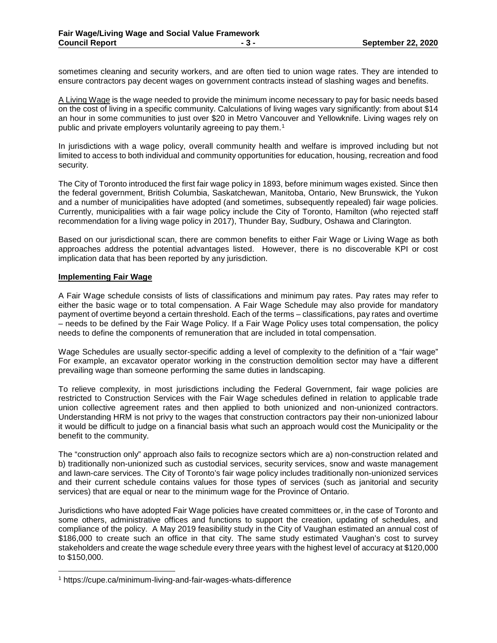sometimes cleaning and security workers, and are often tied to union wage rates. They are intended to ensure contractors pay decent wages on government contracts instead of slashing wages and benefits.

A Living Wage is the wage needed to provide the minimum income necessary to pay for basic needs based on the cost of living in a specific community. Calculations of living wages vary significantly: from about \$14 an hour in some communities to just over \$20 in Metro Vancouver and Yellowknife. Living wages rely on public and private employers voluntarily agreeing to pay them.[1](#page-2-0)

In jurisdictions with a wage policy, overall community health and welfare is improved including but not limited to access to both individual and community opportunities for education, housing, recreation and food security.

The City of Toronto introduced the first fair wage policy in 1893, before minimum wages existed. Since then the federal government, British Columbia, Saskatchewan, Manitoba, Ontario, New Brunswick, the Yukon and a number of municipalities have adopted (and sometimes, subsequently repealed) fair wage policies. Currently, municipalities with a fair wage policy include the City of Toronto, Hamilton (who rejected staff recommendation for a living wage policy in 2017), Thunder Bay, Sudbury, Oshawa and Clarington.

Based on our jurisdictional scan, there are common benefits to either Fair Wage or Living Wage as both approaches address the potential advantages listed. However, there is no discoverable KPI or cost implication data that has been reported by any jurisdiction.

#### **Implementing Fair Wage**

A Fair Wage schedule consists of lists of classifications and minimum pay rates. Pay rates may refer to either the basic wage or to total compensation. A Fair Wage Schedule may also provide for mandatory payment of overtime beyond a certain threshold. Each of the terms – classifications, pay rates and overtime – needs to be defined by the Fair Wage Policy. If a Fair Wage Policy uses total compensation, the policy needs to define the components of remuneration that are included in total compensation.

Wage Schedules are usually sector-specific adding a level of complexity to the definition of a "fair wage" For example, an excavator operator working in the construction demolition sector may have a different prevailing wage than someone performing the same duties in landscaping.

To relieve complexity, in most jurisdictions including the Federal Government, fair wage policies are restricted to Construction Services with the Fair Wage schedules defined in relation to applicable trade union collective agreement rates and then applied to both unionized and non-unionized contractors. Understanding HRM is not privy to the wages that construction contractors pay their non-unionized labour it would be difficult to judge on a financial basis what such an approach would cost the Municipality or the benefit to the community.

The "construction only" approach also fails to recognize sectors which are a) non-construction related and b) traditionally non-unionized such as custodial services, security services, snow and waste management and lawn-care services. The City of Toronto's fair wage policy includes traditionally non-unionized services and their current schedule contains values for those types of services (such as janitorial and security services) that are equal or near to the minimum wage for the Province of Ontario.

Jurisdictions who have adopted Fair Wage policies have created committees or, in the case of Toronto and some others, administrative offices and functions to support the creation, updating of schedules, and compliance of the policy. A May 2019 feasibility study in the City of Vaughan estimated an annual cost of \$186,000 to create such an office in that city. The same study estimated Vaughan's cost to survey stakeholders and create the wage schedule every three years with the highest level of accuracy at \$120,000 to \$150,000.

<span id="page-2-0"></span> <sup>1</sup> https://cupe.ca/minimum-living-and-fair-wages-whats-difference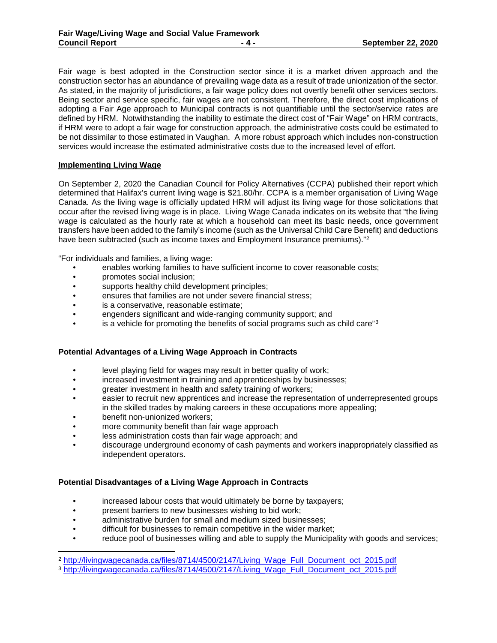Fair wage is best adopted in the Construction sector since it is a market driven approach and the construction sector has an abundance of prevailing wage data as a result of trade unionization of the sector. As stated, in the majority of jurisdictions, a fair wage policy does not overtly benefit other services sectors. Being sector and service specific, fair wages are not consistent. Therefore, the direct cost implications of adopting a Fair Age approach to Municipal contracts is not quantifiable until the sector/service rates are defined by HRM. Notwithstanding the inability to estimate the direct cost of "Fair Wage" on HRM contracts, if HRM were to adopt a fair wage for construction approach, the administrative costs could be estimated to be not dissimilar to those estimated in Vaughan. A more robust approach which includes non-construction services would increase the estimated administrative costs due to the increased level of effort.

### **Implementing Living Wage**

On September 2, 2020 the Canadian Council for Policy Alternatives (CCPA) published their report which determined that Halifax's current living wage is \$21.80/hr. CCPA is a member organisation of Living Wage Canada. As the living wage is officially updated HRM will adjust its living wage for those solicitations that occur after the revised living wage is in place. Living Wage Canada indicates on its website that "the living wage is calculated as the hourly rate at which a household can meet its basic needs, once government transfers have been added to the family's income (such as the Universal Child Care Benefit) and deductions have been subtracted (such as income taxes and Employment Insurance premiums)."<sup>[2](#page-3-0)</sup>

"For individuals and families, a living wage:

- enables working families to have sufficient income to cover reasonable costs;
- promotes social inclusion;
- supports healthy child development principles;
- ensures that families are not under severe financial stress;
- is a conservative, reasonable estimate;
- engenders significant and wide-ranging community support; and
- is a vehicle for promoting the benefits of social programs such as child care"<sup>[3](#page-3-1)</sup>

#### **Potential Advantages of a Living Wage Approach in Contracts**

- level playing field for wages may result in better quality of work;
- increased investment in training and apprenticeships by businesses;
- greater investment in health and safety training of workers;
- easier to recruit new apprentices and increase the representation of underrepresented groups in the skilled trades by making careers in these occupations more appealing;
- benefit non-unionized workers;
- more community benefit than fair wage approach
- less administration costs than fair wage approach; and
- discourage underground economy of cash payments and workers inappropriately classified as independent operators.

#### **Potential Disadvantages of a Living Wage Approach in Contracts**

- increased labour costs that would ultimately be borne by taxpayers;
- **present barriers to new businesses wishing to bid work:**
- administrative burden for small and medium sized businesses;
- difficult for businesses to remain competitive in the wider market;
- reduce pool of businesses willing and able to supply the Municipality with goods and services;

<span id="page-3-0"></span> <sup>2</sup> [http://livingwagecanada.ca/files/8714/4500/2147/Living\\_Wage\\_Full\\_Document\\_oct\\_2015.pdf](http://livingwagecanada.ca/files/8714/4500/2147/Living_Wage_Full_Document_oct_2015.pdf)

<span id="page-3-1"></span><sup>3</sup> [http://livingwagecanada.ca/files/8714/4500/2147/Living\\_Wage\\_Full\\_Document\\_oct\\_2015.pdf](http://livingwagecanada.ca/files/8714/4500/2147/Living_Wage_Full_Document_oct_2015.pdf)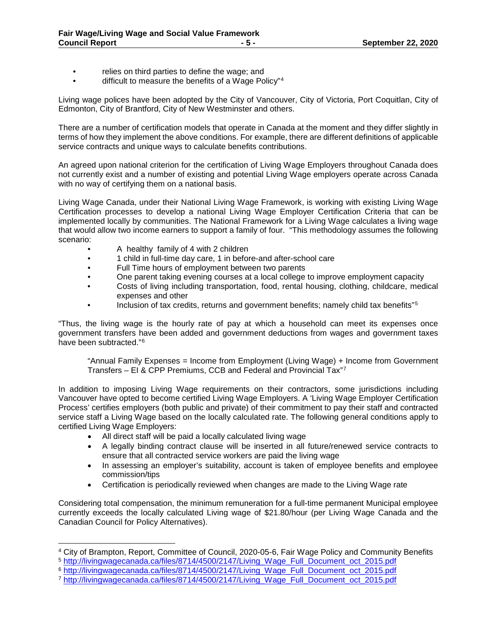- relies on third parties to define the wage; and
- difficult to measure the benefits of a Wage Policy"<sup>[4](#page-4-0)</sup>

Living wage polices have been adopted by the City of Vancouver, City of Victoria, Port Coquitlan, City of Edmonton, City of Brantford, City of New Westminster and others.

There are a number of certification models that operate in Canada at the moment and they differ slightly in terms of how they implement the above conditions. For example, there are different definitions of applicable service contracts and unique ways to calculate benefits contributions.

An agreed upon national criterion for the certification of Living Wage Employers throughout Canada does not currently exist and a number of existing and potential Living Wage employers operate across Canada with no way of certifying them on a national basis.

Living Wage Canada, under their National Living Wage Framework, is working with existing Living Wage Certification processes to develop a national Living Wage Employer Certification Criteria that can be implemented locally by communities. The National Framework for a Living Wage calculates a living wage that would allow two income earners to support a family of four. "This methodology assumes the following scenario:

- A healthy family of 4 with 2 children
- 1 child in full-time day care, 1 in before-and after-school care
- Full Time hours of employment between two parents
- One parent taking evening courses at a local college to improve employment capacity
- Costs of living including transportation, food, rental housing, clothing, childcare, medical expenses and other
- Inclusion of tax credits, returns and government benefits; namely child tax benefits"<sup>[5](#page-4-1)</sup>

"Thus, the living wage is the hourly rate of pay at which a household can meet its expenses once government transfers have been added and government deductions from wages and government taxes have been subtracted."[6](#page-4-2)

"Annual Family Expenses = Income from Employment (Living Wage) + Income from Government Transfers – EI & CPP Premiums, CCB and Federal and Provincial Tax"[7](#page-4-3)

In addition to imposing Living Wage requirements on their contractors, some jurisdictions including Vancouver have opted to become certified Living Wage Employers. A 'Living Wage Employer Certification Process' certifies employers (both public and private) of their commitment to pay their staff and contracted service staff a Living Wage based on the locally calculated rate. The following general conditions apply to certified Living Wage Employers:

- All direct staff will be paid a locally calculated living wage
- A legally binding contract clause will be inserted in all future/renewed service contracts to ensure that all contracted service workers are paid the living wage
- In assessing an employer's suitability, account is taken of employee benefits and employee commission/tips
- Certification is periodically reviewed when changes are made to the Living Wage rate

Considering total compensation, the minimum remuneration for a full-time permanent Municipal employee currently exceeds the locally calculated Living wage of \$21.80/hour (per Living Wage Canada and the Canadian Council for Policy Alternatives).

<span id="page-4-0"></span><sup>4</sup> City of Brampton, Report, Committee of Council, 2020-05-6, Fair Wage Policy and Community Benefits

<span id="page-4-1"></span><sup>5</sup> [http://livingwagecanada.ca/files/8714/4500/2147/Living\\_Wage\\_Full\\_Document\\_oct\\_2015.pdf](http://livingwagecanada.ca/files/8714/4500/2147/Living_Wage_Full_Document_oct_2015.pdf)

<span id="page-4-2"></span><sup>6</sup> [http://livingwagecanada.ca/files/8714/4500/2147/Living\\_Wage\\_Full\\_Document\\_oct\\_2015.pdf](http://livingwagecanada.ca/files/8714/4500/2147/Living_Wage_Full_Document_oct_2015.pdf)

<span id="page-4-3"></span><sup>7</sup> [http://livingwagecanada.ca/files/8714/4500/2147/Living\\_Wage\\_Full\\_Document\\_oct\\_2015.pdf](http://livingwagecanada.ca/files/8714/4500/2147/Living_Wage_Full_Document_oct_2015.pdf)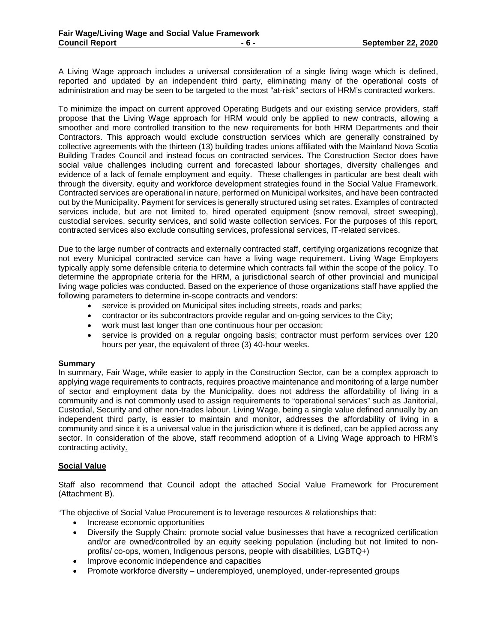A Living Wage approach includes a universal consideration of a single living wage which is defined, reported and updated by an independent third party, eliminating many of the operational costs of administration and may be seen to be targeted to the most "at-risk" sectors of HRM's contracted workers.

To minimize the impact on current approved Operating Budgets and our existing service providers, staff propose that the Living Wage approach for HRM would only be applied to new contracts, allowing a smoother and more controlled transition to the new requirements for both HRM Departments and their Contractors. This approach would exclude construction services which are generally constrained by collective agreements with the thirteen (13) building trades unions affiliated with the Mainland Nova Scotia Building Trades Council and instead focus on contracted services. The Construction Sector does have social value challenges including current and forecasted labour shortages, diversity challenges and evidence of a lack of female employment and equity. These challenges in particular are best dealt with through the diversity, equity and workforce development strategies found in the Social Value Framework. Contracted services are operational in nature, performed on Municipal worksites, and have been contracted out by the Municipality. Payment for services is generally structured using set rates. Examples of contracted services include, but are not limited to, hired operated equipment (snow removal, street sweeping), custodial services, security services, and solid waste collection services. For the purposes of this report, contracted services also exclude consulting services, professional services, IT-related services.

Due to the large number of contracts and externally contracted staff, certifying organizations recognize that not every Municipal contracted service can have a living wage requirement. Living Wage Employers typically apply some defensible criteria to determine which contracts fall within the scope of the policy. To determine the appropriate criteria for the HRM, a jurisdictional search of other provincial and municipal living wage policies was conducted. Based on the experience of those organizations staff have applied the following parameters to determine in-scope contracts and vendors:

- service is provided on Municipal sites including streets, roads and parks;
- contractor or its subcontractors provide regular and on-going services to the City;
- work must last longer than one continuous hour per occasion;
- service is provided on a regular ongoing basis; contractor must perform services over 120 hours per year, the equivalent of three (3) 40-hour weeks.

#### **Summary**

In summary, Fair Wage, while easier to apply in the Construction Sector, can be a complex approach to applying wage requirements to contracts, requires proactive maintenance and monitoring of a large number of sector and employment data by the Municipality, does not address the affordability of living in a community and is not commonly used to assign requirements to "operational services" such as Janitorial, Custodial, Security and other non-trades labour. Living Wage, being a single value defined annually by an independent third party, is easier to maintain and monitor, addresses the affordability of living in a community and since it is a universal value in the jurisdiction where it is defined, can be applied across any sector. In consideration of the above, staff recommend adoption of a Living Wage approach to HRM's contracting activity.

#### **Social Value**

Staff also recommend that Council adopt the attached Social Value Framework for Procurement (Attachment B).

"The objective of Social Value Procurement is to leverage resources & relationships that:

- Increase economic opportunities
- Diversify the Supply Chain: promote social value businesses that have a recognized certification and/or are owned/controlled by an equity seeking population (including but not limited to nonprofits/ co-ops, women, Indigenous persons, people with disabilities, LGBTQ+)
- Improve economic independence and capacities
- Promote workforce diversity underemployed, unemployed, under-represented groups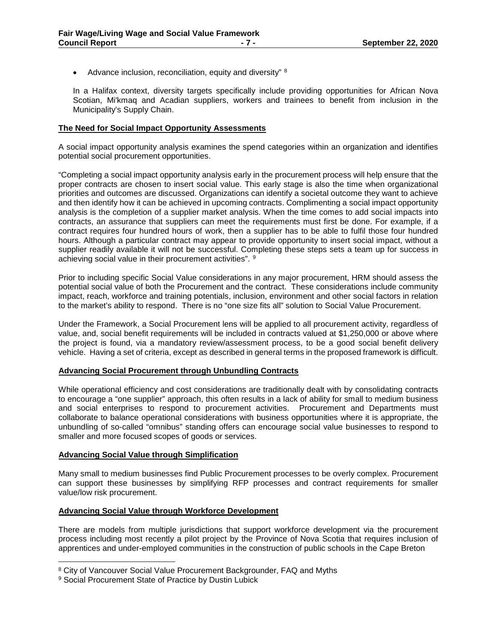• Advance inclusion, reconciliation, equity and diversity" [8](#page-6-0)

In a Halifax context, diversity targets specifically include providing opportunities for African Nova Scotian, Mi'kmaq and Acadian suppliers, workers and trainees to benefit from inclusion in the Municipality's Supply Chain.

#### **The Need for Social Impact Opportunity Assessments**

A social impact opportunity analysis examines the spend categories within an organization and identifies potential social procurement opportunities.

"Completing a social impact opportunity analysis early in the procurement process will help ensure that the proper contracts are chosen to insert social value. This early stage is also the time when organizational priorities and outcomes are discussed. Organizations can identify a societal outcome they want to achieve and then identify how it can be achieved in upcoming contracts. Complimenting a social impact opportunity analysis is the completion of a supplier market analysis. When the time comes to add social impacts into contracts, an assurance that suppliers can meet the requirements must first be done. For example, if a contract requires four hundred hours of work, then a supplier has to be able to fulfil those four hundred hours. Although a particular contract may appear to provide opportunity to insert social impact, without a supplier readily available it will not be successful. Completing these steps sets a team up for success in achieving social value in their procurement activities". [9](#page-6-1)

Prior to including specific Social Value considerations in any major procurement, HRM should assess the potential social value of both the Procurement and the contract. These considerations include community impact, reach, workforce and training potentials, inclusion, environment and other social factors in relation to the market's ability to respond. There is no "one size fits all" solution to Social Value Procurement.

Under the Framework, a Social Procurement lens will be applied to all procurement activity, regardless of value, and, social benefit requirements will be included in contracts valued at \$1,250,000 or above where the project is found, via a mandatory review/assessment process, to be a good social benefit delivery vehicle. Having a set of criteria, except as described in general terms in the proposed framework is difficult.

#### **Advancing Social Procurement through Unbundling Contracts**

While operational efficiency and cost considerations are traditionally dealt with by consolidating contracts to encourage a "one supplier" approach, this often results in a lack of ability for small to medium business and social enterprises to respond to procurement activities. Procurement and Departments must collaborate to balance operational considerations with business opportunities where it is appropriate, the unbundling of so-called "omnibus" standing offers can encourage social value businesses to respond to smaller and more focused scopes of goods or services.

### **Advancing Social Value through Simplification**

Many small to medium businesses find Public Procurement processes to be overly complex. Procurement can support these businesses by simplifying RFP processes and contract requirements for smaller value/low risk procurement.

#### **Advancing Social Value through Workforce Development**

There are models from multiple jurisdictions that support workforce development via the procurement process including most recently a pilot project by the Province of Nova Scotia that requires inclusion of apprentices and under-employed communities in the construction of public schools in the Cape Breton

<span id="page-6-0"></span><sup>&</sup>lt;sup>8</sup> City of Vancouver Social Value Procurement Backgrounder, FAQ and Myths

<span id="page-6-1"></span><sup>9</sup> Social Procurement State of Practice by Dustin Lubick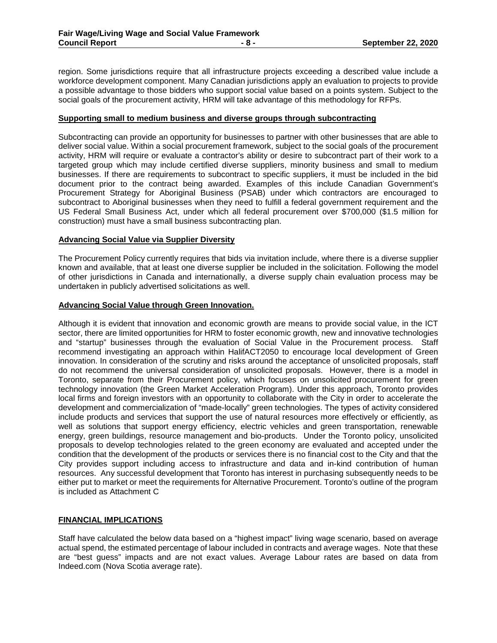region. Some jurisdictions require that all infrastructure projects exceeding a described value include a workforce development component. Many Canadian jurisdictions apply an evaluation to projects to provide a possible advantage to those bidders who support social value based on a points system. Subject to the social goals of the procurement activity, HRM will take advantage of this methodology for RFPs.

#### **Supporting small to medium business and diverse groups through subcontracting**

Subcontracting can provide an opportunity for businesses to partner with other businesses that are able to deliver social value. Within a social procurement framework, subject to the social goals of the procurement activity, HRM will require or evaluate a contractor's ability or desire to subcontract part of their work to a targeted group which may include certified diverse suppliers, minority business and small to medium businesses. If there are requirements to subcontract to specific suppliers, it must be included in the bid document prior to the contract being awarded. Examples of this include Canadian Government's Procurement Strategy for Aboriginal Business (PSAB) under which contractors are encouraged to subcontract to Aboriginal businesses when they need to fulfill a federal government requirement and the US Federal Small Business Act, under which all federal procurement over \$700,000 (\$1.5 million for construction) must have a small business subcontracting plan.

### **Advancing Social Value via Supplier Diversity**

The Procurement Policy currently requires that bids via invitation include, where there is a diverse supplier known and available, that at least one diverse supplier be included in the solicitation. Following the model of other jurisdictions in Canada and internationally, a diverse supply chain evaluation process may be undertaken in publicly advertised solicitations as well.

#### **Advancing Social Value through Green Innovation.**

Although it is evident that innovation and economic growth are means to provide social value, in the ICT sector, there are limited opportunities for HRM to foster economic growth, new and innovative technologies and "startup" businesses through the evaluation of Social Value in the Procurement process. Staff recommend investigating an approach within HalifACT2050 to encourage local development of Green innovation. In consideration of the scrutiny and risks around the acceptance of unsolicited proposals, staff do not recommend the universal consideration of unsolicited proposals. However, there is a model in Toronto, separate from their Procurement policy, which focuses on unsolicited procurement for green technology innovation (the Green Market Acceleration Program). Under this approach, Toronto provides local firms and foreign investors with an opportunity to collaborate with the City in order to accelerate the development and commercialization of "made-locally" green technologies. The types of activity considered include products and services that support the use of natural resources more effectively or efficiently, as well as solutions that support energy efficiency, electric vehicles and green transportation, renewable energy, green buildings, resource management and bio-products. Under the Toronto policy, unsolicited proposals to develop technologies related to the green economy are evaluated and accepted under the condition that the development of the products or services there is no financial cost to the City and that the City provides support including access to infrastructure and data and in-kind contribution of human resources. Any successful development that Toronto has interest in purchasing subsequently needs to be either put to market or meet the requirements for Alternative Procurement. Toronto's outline of the program is included as Attachment C

# **FINANCIAL IMPLICATIONS**

Staff have calculated the below data based on a "highest impact" living wage scenario, based on average actual spend, the estimated percentage of labour included in contracts and average wages. Note that these are "best guess" impacts and are not exact values. Average Labour rates are based on data from Indeed.com (Nova Scotia average rate).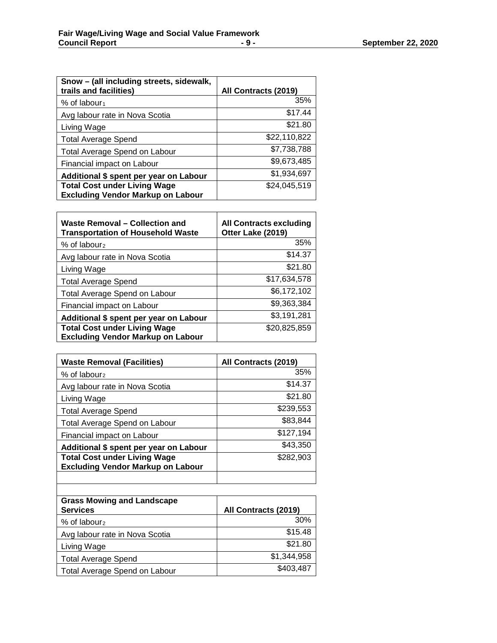| Snow - (all including streets, sidewalk,<br>trails and facilities)              | All Contracts (2019) |
|---------------------------------------------------------------------------------|----------------------|
| % of labour <sub>1</sub>                                                        | 35%                  |
| Avg labour rate in Nova Scotia                                                  | \$17.44              |
| Living Wage                                                                     | \$21.80              |
| <b>Total Average Spend</b>                                                      | \$22,110,822         |
| <b>Total Average Spend on Labour</b>                                            | \$7,738,788          |
| Financial impact on Labour                                                      | \$9,673,485          |
| Additional \$ spent per year on Labour                                          | \$1,934,697          |
| <b>Total Cost under Living Wage</b><br><b>Excluding Vendor Markup on Labour</b> | \$24,045,519         |
|                                                                                 |                      |

| Waste Removal - Collection and<br><b>Transportation of Household Waste</b>      | <b>All Contracts excluding</b><br>Otter Lake (2019) |
|---------------------------------------------------------------------------------|-----------------------------------------------------|
| % of labour <sub>2</sub>                                                        | 35%                                                 |
| Avg labour rate in Nova Scotia                                                  | \$14.37                                             |
| Living Wage                                                                     | \$21.80                                             |
| <b>Total Average Spend</b>                                                      | \$17,634,578                                        |
| <b>Total Average Spend on Labour</b>                                            | \$6,172,102                                         |
| Financial impact on Labour                                                      | \$9,363,384                                         |
| Additional \$ spent per year on Labour                                          | \$3,191,281                                         |
| <b>Total Cost under Living Wage</b><br><b>Excluding Vendor Markup on Labour</b> | \$20,825,859                                        |

| <b>Waste Removal (Facilities)</b>        | All Contracts (2019) |
|------------------------------------------|----------------------|
| % of labour <sub>2</sub>                 | 35%                  |
| Avg labour rate in Nova Scotia           | \$14.37              |
| Living Wage                              | \$21.80              |
| <b>Total Average Spend</b>               | \$239,553            |
| <b>Total Average Spend on Labour</b>     | \$83,844             |
| Financial impact on Labour               | \$127,194            |
| Additional \$ spent per year on Labour   | \$43,350             |
| <b>Total Cost under Living Wage</b>      | \$282,903            |
| <b>Excluding Vendor Markup on Labour</b> |                      |
|                                          |                      |

| <b>Grass Mowing and Landscape</b><br><b>Services</b> | All Contracts (2019) |
|------------------------------------------------------|----------------------|
| % of labour <sub>2</sub>                             | 30%                  |
| Avg labour rate in Nova Scotia                       | \$15.48              |
| Living Wage                                          | \$21.80              |
| <b>Total Average Spend</b>                           | \$1,344,958          |
| Total Average Spend on Labour                        | \$403,487            |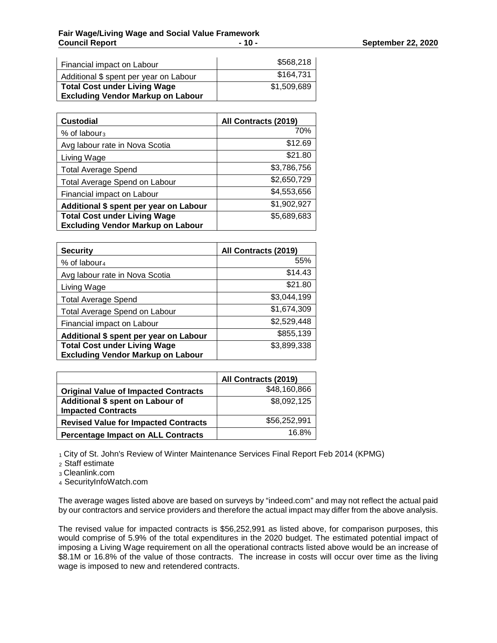| Financial impact on Labour                                                      | \$568,218   |
|---------------------------------------------------------------------------------|-------------|
| Additional \$ spent per year on Labour                                          | \$164,731   |
| <b>Total Cost under Living Wage</b><br><b>Excluding Vendor Markup on Labour</b> | \$1,509,689 |

| <b>Custodial</b>                         | All Contracts (2019) |
|------------------------------------------|----------------------|
| $%$ of labour <sub>3</sub>               | 70%                  |
| Avg labour rate in Nova Scotia           | \$12.69              |
| Living Wage                              | \$21.80              |
| <b>Total Average Spend</b>               | \$3,786,756          |
| <b>Total Average Spend on Labour</b>     | \$2,650,729          |
| Financial impact on Labour               | \$4,553,656          |
| Additional \$ spent per year on Labour   | \$1,902,927          |
| <b>Total Cost under Living Wage</b>      | \$5,689,683          |
| <b>Excluding Vendor Markup on Labour</b> |                      |

| <b>Security</b>                          | All Contracts (2019) |
|------------------------------------------|----------------------|
| % of labour <sub>4</sub>                 | 55%                  |
| Avg labour rate in Nova Scotia           | \$14.43              |
| Living Wage                              | \$21.80              |
| <b>Total Average Spend</b>               | \$3,044,199          |
| Total Average Spend on Labour            | \$1,674,309          |
| Financial impact on Labour               | \$2,529,448          |
| Additional \$ spent per year on Labour   | \$855,139            |
| <b>Total Cost under Living Wage</b>      | \$3,899,338          |
| <b>Excluding Vendor Markup on Labour</b> |                      |

|                                                               | All Contracts (2019) |
|---------------------------------------------------------------|----------------------|
| <b>Original Value of Impacted Contracts</b>                   | \$48,160,866         |
| Additional \$ spent on Labour of<br><b>Impacted Contracts</b> | \$8,092,125          |
| <b>Revised Value for Impacted Contracts</b>                   | \$56,252,991         |
| <b>Percentage Impact on ALL Contracts</b>                     | 16.8%                |
|                                                               |                      |

1 City of St. John's Review of Winter Maintenance Services Final Report Feb 2014 (KPMG)

<sup>2</sup> Staff estimate

<sup>3</sup> Cleanlink.com

<sup>4</sup> SecurityInfoWatch.com

The average wages listed above are based on surveys by "indeed.com" and may not reflect the actual paid by our contractors and service providers and therefore the actual impact may differ from the above analysis.

The revised value for impacted contracts is \$56,252,991 as listed above, for comparison purposes, this would comprise of 5.9% of the total expenditures in the 2020 budget. The estimated potential impact of imposing a Living Wage requirement on all the operational contracts listed above would be an increase of \$8.1M or 16.8% of the value of those contracts. The increase in costs will occur over time as the living wage is imposed to new and retendered contracts.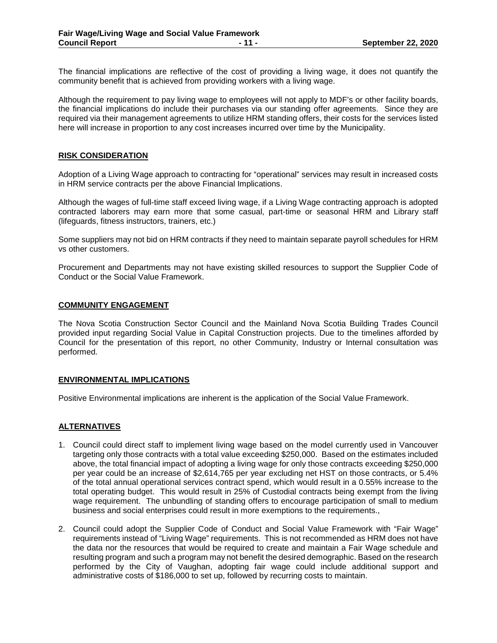The financial implications are reflective of the cost of providing a living wage, it does not quantify the community benefit that is achieved from providing workers with a living wage.

Although the requirement to pay living wage to employees will not apply to MDF's or other facility boards, the financial implications do include their purchases via our standing offer agreements. Since they are required via their management agreements to utilize HRM standing offers, their costs for the services listed here will increase in proportion to any cost increases incurred over time by the Municipality.

#### **RISK CONSIDERATION**

Adoption of a Living Wage approach to contracting for "operational" services may result in increased costs in HRM service contracts per the above Financial Implications.

Although the wages of full-time staff exceed living wage, if a Living Wage contracting approach is adopted contracted laborers may earn more that some casual, part-time or seasonal HRM and Library staff (lifeguards, fitness instructors, trainers, etc.)

Some suppliers may not bid on HRM contracts if they need to maintain separate payroll schedules for HRM vs other customers.

Procurement and Departments may not have existing skilled resources to support the Supplier Code of Conduct or the Social Value Framework.

#### **COMMUNITY ENGAGEMENT**

The Nova Scotia Construction Sector Council and the Mainland Nova Scotia Building Trades Council provided input regarding Social Value in Capital Construction projects. Due to the timelines afforded by Council for the presentation of this report, no other Community, Industry or Internal consultation was performed.

#### **ENVIRONMENTAL IMPLICATIONS**

Positive Environmental implications are inherent is the application of the Social Value Framework.

#### **ALTERNATIVES**

- 1. Council could direct staff to implement living wage based on the model currently used in Vancouver targeting only those contracts with a total value exceeding \$250,000. Based on the estimates included above, the total financial impact of adopting a living wage for only those contracts exceeding \$250,000 per year could be an increase of \$2,614,765 per year excluding net HST on those contracts, or 5.4% of the total annual operational services contract spend, which would result in a 0.55% increase to the total operating budget. This would result in 25% of Custodial contracts being exempt from the living wage requirement. The unbundling of standing offers to encourage participation of small to medium business and social enterprises could result in more exemptions to the requirements.,
- 2. Council could adopt the Supplier Code of Conduct and Social Value Framework with "Fair Wage" requirements instead of "Living Wage" requirements. This is not recommended as HRM does not have the data nor the resources that would be required to create and maintain a Fair Wage schedule and resulting program and such a program may not benefit the desired demographic. Based on the research performed by the City of Vaughan, adopting fair wage could include additional support and administrative costs of \$186,000 to set up, followed by recurring costs to maintain.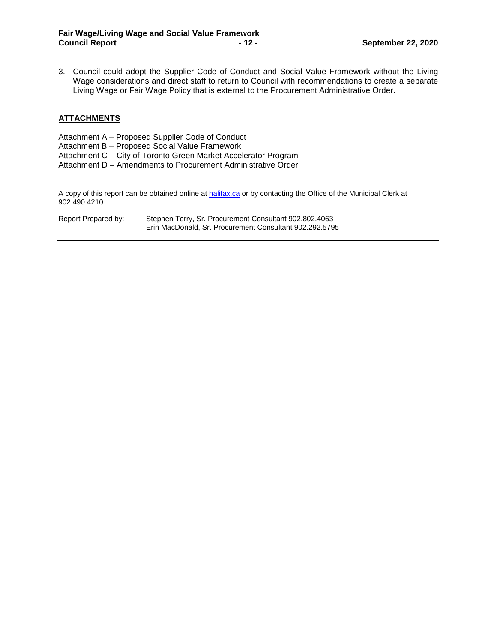3. Council could adopt the Supplier Code of Conduct and Social Value Framework without the Living Wage considerations and direct staff to return to Council with recommendations to create a separate Living Wage or Fair Wage Policy that is external to the Procurement Administrative Order.

# **ATTACHMENTS**

| Attachment A – Proposed Supplier Code of Conduct                |
|-----------------------------------------------------------------|
| Attachment B - Proposed Social Value Framework                  |
| Attachment C - City of Toronto Green Market Accelerator Program |
| Attachment D – Amendments to Procurement Administrative Order   |
|                                                                 |

A copy of this report can be obtained online a[t halifax.ca](http://www.halifax.ca/) or by contacting the Office of the Municipal Clerk at 902.490.4210.

| Report Prepared by: | Stephen Terry, Sr. Procurement Consultant 902.802.4063  |
|---------------------|---------------------------------------------------------|
|                     | Erin MacDonald, Sr. Procurement Consultant 902.292.5795 |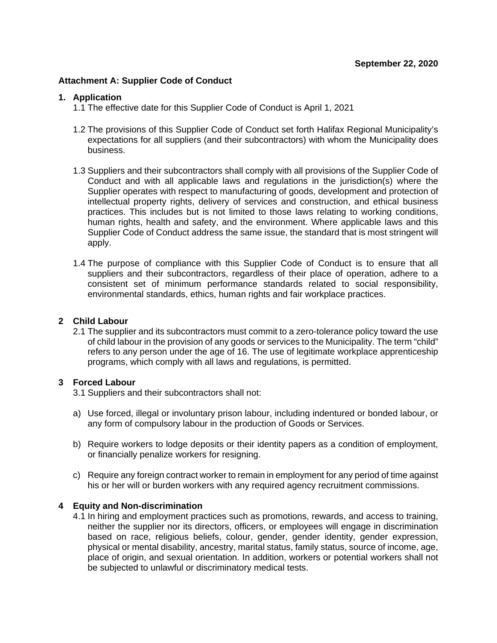# **Attachment A: Supplier Code of Conduct**

## **1. Application**

- 1.1 The effective date for this Supplier Code of Conduct is April 1, 2021
- 1.2 The provisions of this Supplier Code of Conduct set forth Halifax Regional Municipality's expectations for all suppliers (and their subcontractors) with whom the Municipality does business.
- 1.3 Suppliers and their subcontractors shall comply with all provisions of the Supplier Code of Conduct and with all applicable laws and regulations in the jurisdiction(s) where the Supplier operates with respect to manufacturing of goods, development and protection of intellectual property rights, delivery of services and construction, and ethical business practices. This includes but is not limited to those laws relating to working conditions, human rights, health and safety, and the environment. Where applicable laws and this Supplier Code of Conduct address the same issue, the standard that is most stringent will apply.
- 1.4 The purpose of compliance with this Supplier Code of Conduct is to ensure that all suppliers and their subcontractors, regardless of their place of operation, adhere to a consistent set of minimum performance standards related to social responsibility, environmental standards, ethics, human rights and fair workplace practices.

# **2 Child Labour**

2.1 The supplier and its subcontractors must commit to a zero-tolerance policy toward the use of child labour in the provision of any goods or services to the Municipality. The term "child" refers to any person under the age of 16. The use of legitimate workplace apprenticeship programs, which comply with all laws and regulations, is permitted.

# **3 Forced Labour**

3.1 Suppliers and their subcontractors shall not:

- a) Use forced, illegal or involuntary prison labour, including indentured or bonded labour, or any form of compulsory labour in the production of Goods or Services.
- b) Require workers to lodge deposits or their identity papers as a condition of employment, or financially penalize workers for resigning.
- c) Require any foreign contract worker to remain in employment for any period of time against his or her will or burden workers with any required agency recruitment commissions.

# **4 Equity and Non-discrimination**

4.1 In hiring and employment practices such as promotions, rewards, and access to training, neither the supplier nor its directors, officers, or employees will engage in discrimination based on race, religious beliefs, colour, gender, gender identity, gender expression, physical or mental disability, ancestry, marital status, family status, source of income, age, place of origin, and sexual orientation. In addition, workers or potential workers shall not be subjected to unlawful or discriminatory medical tests.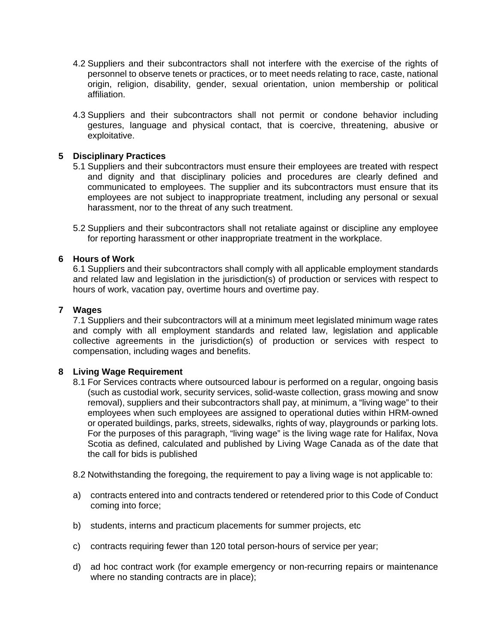- 4.2 Suppliers and their subcontractors shall not interfere with the exercise of the rights of personnel to observe tenets or practices, or to meet needs relating to race, caste, national origin, religion, disability, gender, sexual orientation, union membership or political affiliation.
- 4.3 Suppliers and their subcontractors shall not permit or condone behavior including gestures, language and physical contact, that is coercive, threatening, abusive or exploitative.

# **5 Disciplinary Practices**

- 5.1 Suppliers and their subcontractors must ensure their employees are treated with respect and dignity and that disciplinary policies and procedures are clearly defined and communicated to employees. The supplier and its subcontractors must ensure that its employees are not subject to inappropriate treatment, including any personal or sexual harassment, nor to the threat of any such treatment.
- 5.2 Suppliers and their subcontractors shall not retaliate against or discipline any employee for reporting harassment or other inappropriate treatment in the workplace.

# **6 Hours of Work**

6.1 Suppliers and their subcontractors shall comply with all applicable employment standards and related law and legislation in the jurisdiction(s) of production or services with respect to hours of work, vacation pay, overtime hours and overtime pay.

# **7 Wages**

7.1 Suppliers and their subcontractors will at a minimum meet legislated minimum wage rates and comply with all employment standards and related law, legislation and applicable collective agreements in the jurisdiction(s) of production or services with respect to compensation, including wages and benefits.

# **8 Living Wage Requirement**

8.1 For Services contracts where outsourced labour is performed on a regular, ongoing basis (such as custodial work, security services, solid-waste collection, grass mowing and snow removal), suppliers and their subcontractors shall pay, at minimum, a "living wage" to their employees when such employees are assigned to operational duties within HRM-owned or operated buildings, parks, streets, sidewalks, rights of way, playgrounds or parking lots. For the purposes of this paragraph, "living wage" is the living wage rate for Halifax, Nova Scotia as defined, calculated and published by Living Wage Canada as of the date that the call for bids is published

8.2 Notwithstanding the foregoing, the requirement to pay a living wage is not applicable to:

- a) contracts entered into and contracts tendered or retendered prior to this Code of Conduct coming into force;
- b) students, interns and practicum placements for summer projects, etc
- c) contracts requiring fewer than 120 total person-hours of service per year;
- d) ad hoc contract work (for example emergency or non-recurring repairs or maintenance where no standing contracts are in place);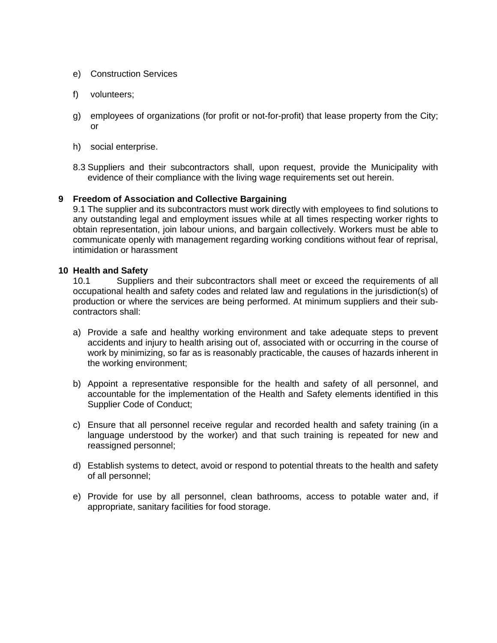- e) Construction Services
- f) volunteers;
- g) employees of organizations (for profit or not-for-profit) that lease property from the City; or
- h) social enterprise.
- 8.3 Suppliers and their subcontractors shall, upon request, provide the Municipality with evidence of their compliance with the living wage requirements set out herein.

# **9 Freedom of Association and Collective Bargaining**

9.1 The supplier and its subcontractors must work directly with employees to find solutions to any outstanding legal and employment issues while at all times respecting worker rights to obtain representation, join labour unions, and bargain collectively. Workers must be able to communicate openly with management regarding working conditions without fear of reprisal, intimidation or harassment

# **10 Health and Safety**

10.1 Suppliers and their subcontractors shall meet or exceed the requirements of all occupational health and safety codes and related law and regulations in the jurisdiction(s) of production or where the services are being performed. At minimum suppliers and their subcontractors shall:

- a) Provide a safe and healthy working environment and take adequate steps to prevent accidents and injury to health arising out of, associated with or occurring in the course of work by minimizing, so far as is reasonably practicable, the causes of hazards inherent in the working environment;
- b) Appoint a representative responsible for the health and safety of all personnel, and accountable for the implementation of the Health and Safety elements identified in this Supplier Code of Conduct;
- c) Ensure that all personnel receive regular and recorded health and safety training (in a language understood by the worker) and that such training is repeated for new and reassigned personnel;
- d) Establish systems to detect, avoid or respond to potential threats to the health and safety of all personnel;
- e) Provide for use by all personnel, clean bathrooms, access to potable water and, if appropriate, sanitary facilities for food storage.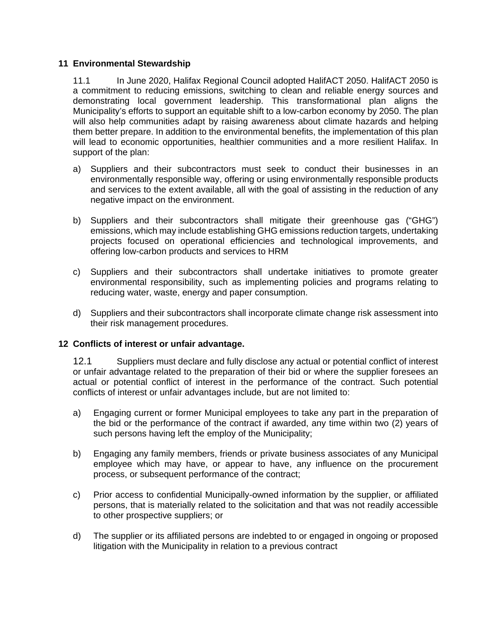# **11 Environmental Stewardship**

11.1 In June 2020, Halifax Regional Council adopted HalifACT 2050. HalifACT 2050 is a commitment to reducing emissions, switching to clean and reliable energy sources and demonstrating local government leadership. This transformational plan aligns the Municipality's efforts to support an equitable shift to a low-carbon economy by 2050. The plan will also help communities adapt by raising awareness about climate hazards and helping them better prepare. In addition to the environmental benefits, the implementation of this plan will lead to economic opportunities, healthier communities and a more resilient Halifax. In support of the plan:

- a) Suppliers and their subcontractors must seek to conduct their businesses in an environmentally responsible way, offering or using environmentally responsible products and services to the extent available, all with the goal of assisting in the reduction of any negative impact on the environment.
- b) Suppliers and their subcontractors shall mitigate their greenhouse gas ("GHG") emissions, which may include establishing GHG emissions reduction targets, undertaking projects focused on operational efficiencies and technological improvements, and offering low-carbon products and services to HRM
- c) Suppliers and their subcontractors shall undertake initiatives to promote greater environmental responsibility, such as implementing policies and programs relating to reducing water, waste, energy and paper consumption.
- d) Suppliers and their subcontractors shall incorporate climate change risk assessment into their risk management procedures.

# **12 Conflicts of interest or unfair advantage.**

12.1 Suppliers must declare and fully disclose any actual or potential conflict of interest or unfair advantage related to the preparation of their bid or where the supplier foresees an actual or potential conflict of interest in the performance of the contract. Such potential conflicts of interest or unfair advantages include, but are not limited to:

- a) Engaging current or former Municipal employees to take any part in the preparation of the bid or the performance of the contract if awarded, any time within two (2) years of such persons having left the employ of the Municipality;
- b) Engaging any family members, friends or private business associates of any Municipal employee which may have, or appear to have, any influence on the procurement process, or subsequent performance of the contract;
- c) Prior access to confidential Municipally-owned information by the supplier, or affiliated persons, that is materially related to the solicitation and that was not readily accessible to other prospective suppliers; or
- d) The supplier or its affiliated persons are indebted to or engaged in ongoing or proposed litigation with the Municipality in relation to a previous contract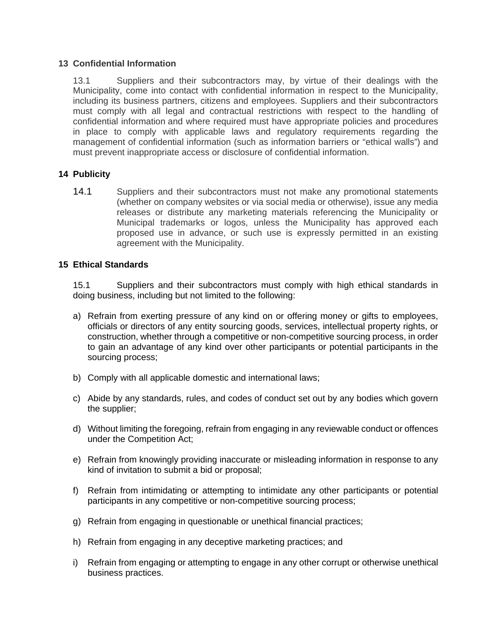# **13 Confidential Information**

13.1 Suppliers and their subcontractors may, by virtue of their dealings with the Municipality, come into contact with confidential information in respect to the Municipality, including its business partners, citizens and employees. Suppliers and their subcontractors must comply with all legal and contractual restrictions with respect to the handling of confidential information and where required must have appropriate policies and procedures in place to comply with applicable laws and regulatory requirements regarding the management of confidential information (such as information barriers or "ethical walls") and must prevent inappropriate access or disclosure of confidential information.

# **14 Publicity**

14.1 Suppliers and their subcontractors must not make any promotional statements (whether on company websites or via social media or otherwise), issue any media releases or distribute any marketing materials referencing the Municipality or Municipal trademarks or logos, unless the Municipality has approved each proposed use in advance, or such use is expressly permitted in an existing agreement with the Municipality.

# **15 Ethical Standards**

15.1 Suppliers and their subcontractors must comply with high ethical standards in doing business, including but not limited to the following:

- a) Refrain from exerting pressure of any kind on or offering money or gifts to employees, officials or directors of any entity sourcing goods, services, intellectual property rights, or construction, whether through a competitive or non-competitive sourcing process, in order to gain an advantage of any kind over other participants or potential participants in the sourcing process;
- b) Comply with all applicable domestic and international laws;
- c) Abide by any standards, rules, and codes of conduct set out by any bodies which govern the supplier;
- d) Without limiting the foregoing, refrain from engaging in any reviewable conduct or offences under the Competition Act;
- e) Refrain from knowingly providing inaccurate or misleading information in response to any kind of invitation to submit a bid or proposal;
- f) Refrain from intimidating or attempting to intimidate any other participants or potential participants in any competitive or non-competitive sourcing process;
- g) Refrain from engaging in questionable or unethical financial practices;
- h) Refrain from engaging in any deceptive marketing practices; and
- i) Refrain from engaging or attempting to engage in any other corrupt or otherwise unethical business practices.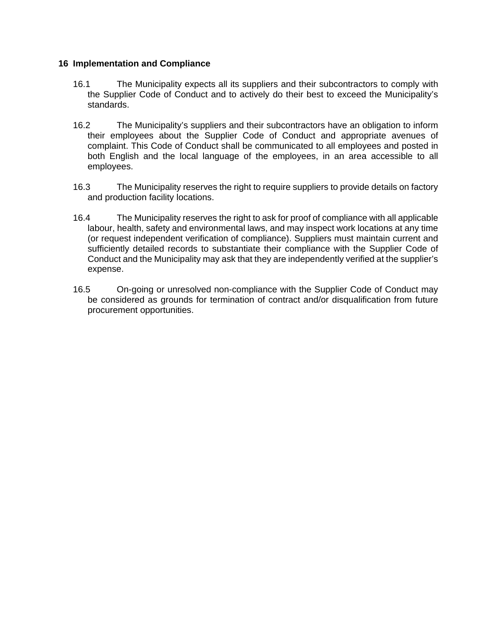# **16 Implementation and Compliance**

- 16.1 The Municipality expects all its suppliers and their subcontractors to comply with the Supplier Code of Conduct and to actively do their best to exceed the Municipality's standards.
- 16.2 The Municipality's suppliers and their subcontractors have an obligation to inform their employees about the Supplier Code of Conduct and appropriate avenues of complaint. This Code of Conduct shall be communicated to all employees and posted in both English and the local language of the employees, in an area accessible to all employees.
- 16.3 The Municipality reserves the right to require suppliers to provide details on factory and production facility locations.
- 16.4 The Municipality reserves the right to ask for proof of compliance with all applicable labour, health, safety and environmental laws, and may inspect work locations at any time (or request independent verification of compliance). Suppliers must maintain current and sufficiently detailed records to substantiate their compliance with the Supplier Code of Conduct and the Municipality may ask that they are independently verified at the supplier's expense.
- 16.5 On-going or unresolved non-compliance with the Supplier Code of Conduct may be considered as grounds for termination of contract and/or disqualification from future procurement opportunities.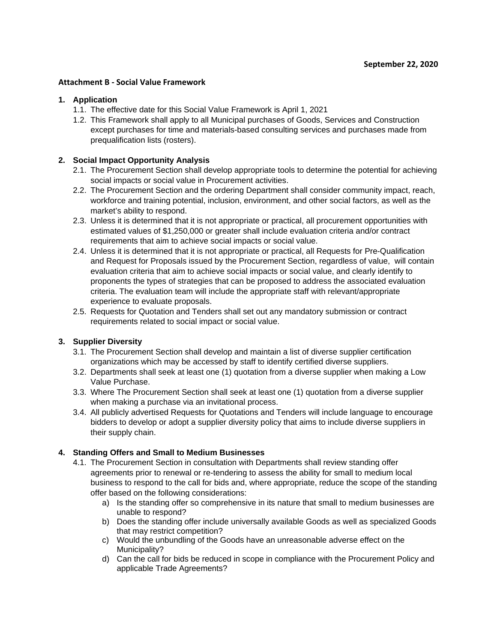### **Attachment B - Social Value Framework**

#### **1. Application**

- 1.1. The effective date for this Social Value Framework is April 1, 2021
- 1.2. This Framework shall apply to all Municipal purchases of Goods, Services and Construction except purchases for time and materials-based consulting services and purchases made from prequalification lists (rosters).

## **2. Social Impact Opportunity Analysis**

- 2.1. The Procurement Section shall develop appropriate tools to determine the potential for achieving social impacts or social value in Procurement activities.
- 2.2. The Procurement Section and the ordering Department shall consider community impact, reach, workforce and training potential, inclusion, environment, and other social factors, as well as the market's ability to respond.
- 2.3. Unless it is determined that it is not appropriate or practical, all procurement opportunities with estimated values of \$1,250,000 or greater shall include evaluation criteria and/or contract requirements that aim to achieve social impacts or social value.
- 2.4. Unless it is determined that it is not appropriate or practical, all Requests for Pre-Qualification and Request for Proposals issued by the Procurement Section, regardless of value, will contain evaluation criteria that aim to achieve social impacts or social value, and clearly identify to proponents the types of strategies that can be proposed to address the associated evaluation criteria. The evaluation team will include the appropriate staff with relevant/appropriate experience to evaluate proposals.
- 2.5. Requests for Quotation and Tenders shall set out any mandatory submission or contract requirements related to social impact or social value.

# **3. Supplier Diversity**

- 3.1. The Procurement Section shall develop and maintain a list of diverse supplier certification organizations which may be accessed by staff to identify certified diverse suppliers.
- 3.2. Departments shall seek at least one (1) quotation from a diverse supplier when making a Low Value Purchase.
- 3.3. Where The Procurement Section shall seek at least one (1) quotation from a diverse supplier when making a purchase via an invitational process.
- 3.4. All publicly advertised Requests for Quotations and Tenders will include language to encourage bidders to develop or adopt a supplier diversity policy that aims to include diverse suppliers in their supply chain.

#### **4. Standing Offers and Small to Medium Businesses**

- 4.1. The Procurement Section in consultation with Departments shall review standing offer agreements prior to renewal or re-tendering to assess the ability for small to medium local business to respond to the call for bids and, where appropriate, reduce the scope of the standing offer based on the following considerations:
	- a) Is the standing offer so comprehensive in its nature that small to medium businesses are unable to respond?
	- b) Does the standing offer include universally available Goods as well as specialized Goods that may restrict competition?
	- c) Would the unbundling of the Goods have an unreasonable adverse effect on the Municipality?
	- d) Can the call for bids be reduced in scope in compliance with the Procurement Policy and applicable Trade Agreements?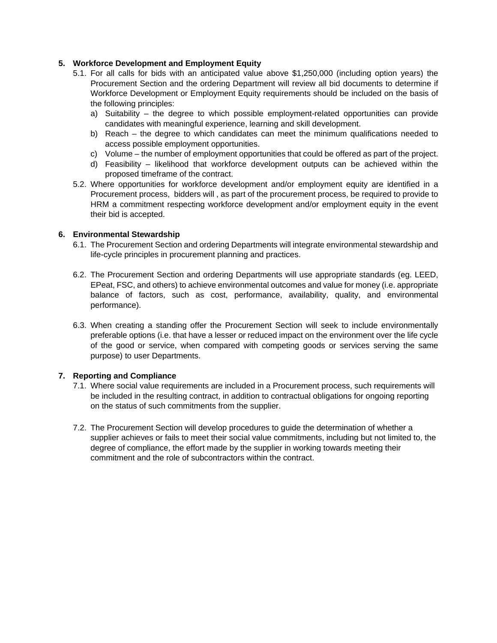# **5. Workforce Development and Employment Equity**

- 5.1. For all calls for bids with an anticipated value above \$1,250,000 (including option years) the Procurement Section and the ordering Department will review all bid documents to determine if Workforce Development or Employment Equity requirements should be included on the basis of the following principles:
	- a) Suitability the degree to which possible employment-related opportunities can provide candidates with meaningful experience, learning and skill development.
	- b) Reach the degree to which candidates can meet the minimum qualifications needed to access possible employment opportunities.
	- c) Volume the number of employment opportunities that could be offered as part of the project.
	- d) Feasibility likelihood that workforce development outputs can be achieved within the proposed timeframe of the contract.
- 5.2. Where opportunities for workforce development and/or employment equity are identified in a Procurement process, bidders will , as part of the procurement process, be required to provide to HRM a commitment respecting workforce development and/or employment equity in the event their bid is accepted.

### **6. Environmental Stewardship**

- 6.1. The Procurement Section and ordering Departments will integrate environmental stewardship and life-cycle principles in procurement planning and practices.
- 6.2. The Procurement Section and ordering Departments will use appropriate standards (eg. LEED, EPeat, FSC, and others) to achieve environmental outcomes and value for money (i.e. appropriate balance of factors, such as cost, performance, availability, quality, and environmental performance).
- 6.3. When creating a standing offer the Procurement Section will seek to include environmentally preferable options (i.e. that have a lesser or reduced impact on the environment over the life cycle of the good or service, when compared with competing goods or services serving the same purpose) to user Departments.

#### **7. Reporting and Compliance**

- 7.1. Where social value requirements are included in a Procurement process, such requirements will be included in the resulting contract, in addition to contractual obligations for ongoing reporting on the status of such commitments from the supplier.
- 7.2. The Procurement Section will develop procedures to guide the determination of whether a supplier achieves or fails to meet their social value commitments, including but not limited to, the degree of compliance, the effort made by the supplier in working towards meeting their commitment and the role of subcontractors within the contract.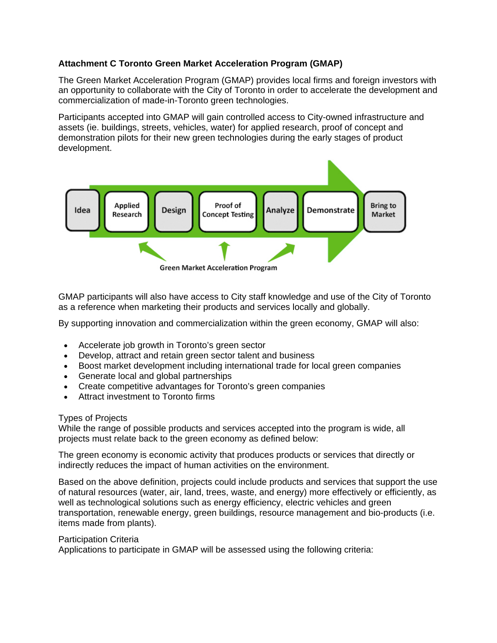# **Attachment C Toronto Green Market Acceleration Program (GMAP)**

The Green Market Acceleration Program (GMAP) provides local firms and foreign investors with an opportunity to collaborate with the City of Toronto in order to accelerate the development and commercialization of made-in-Toronto green technologies.

Participants accepted into GMAP will gain controlled access to City-owned infrastructure and assets (ie. buildings, streets, vehicles, water) for applied research, proof of concept and demonstration pilots for their new green technologies during the early stages of product development.



GMAP participants will also have access to City staff knowledge and use of the City of Toronto as a reference when marketing their products and services locally and globally.

By supporting innovation and commercialization within the green economy, GMAP will also:

- Accelerate job growth in Toronto's green sector
- Develop, attract and retain green sector talent and business
- Boost market development including international trade for local green companies
- Generate local and global partnerships
- Create competitive advantages for Toronto's green companies
- Attract investment to Toronto firms

# Types of Projects

While the range of possible products and services accepted into the program is wide, all projects must relate back to the green economy as defined below:

The green economy is economic activity that produces products or services that directly or indirectly reduces the impact of human activities on the environment.

Based on the above definition, projects could include products and services that support the use of natural resources (water, air, land, trees, waste, and energy) more effectively or efficiently, as well as technological solutions such as energy efficiency, electric vehicles and green transportation, renewable energy, green buildings, resource management and bio-products (i.e. items made from plants).

# Participation Criteria

Applications to participate in GMAP will be assessed using the following criteria: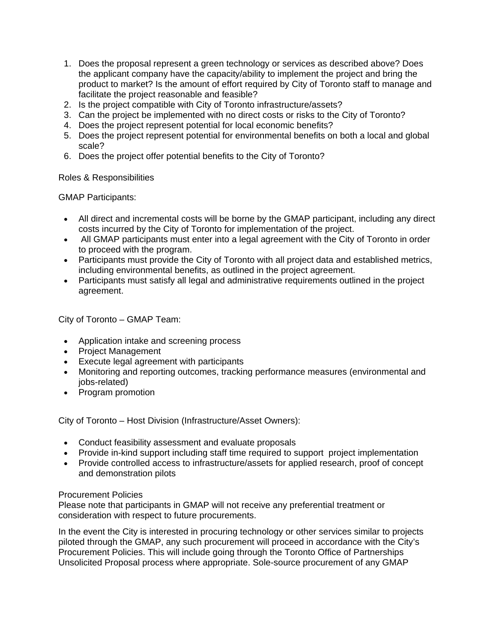- 1. Does the proposal represent a green technology or services as described above? Does the applicant company have the capacity/ability to implement the project and bring the product to market? Is the amount of effort required by City of Toronto staff to manage and facilitate the project reasonable and feasible?
- 2. Is the project compatible with City of Toronto infrastructure/assets?
- 3. Can the project be implemented with no direct costs or risks to the City of Toronto?
- 4. Does the project represent potential for local economic benefits?
- 5. Does the project represent potential for environmental benefits on both a local and global scale?
- 6. Does the project offer potential benefits to the City of Toronto?

# Roles & Responsibilities

GMAP Participants:

- All direct and incremental costs will be borne by the GMAP participant, including any direct costs incurred by the City of Toronto for implementation of the project.
- All GMAP participants must enter into a legal agreement with the City of Toronto in order to proceed with the program.
- Participants must provide the City of Toronto with all project data and established metrics, including environmental benefits, as outlined in the project agreement.
- Participants must satisfy all legal and administrative requirements outlined in the project agreement.

City of Toronto – GMAP Team:

- Application intake and screening process
- Project Management
- Execute legal agreement with participants
- Monitoring and reporting outcomes, tracking performance measures (environmental and jobs-related)
- Program promotion

City of Toronto – Host Division (Infrastructure/Asset Owners):

- Conduct feasibility assessment and evaluate proposals
- Provide in-kind support including staff time required to support project implementation
- Provide controlled access to infrastructure/assets for applied research, proof of concept and demonstration pilots

# Procurement Policies

Please note that participants in GMAP will not receive any preferential treatment or consideration with respect to future procurements.

In the event the City is interested in procuring technology or other services similar to projects piloted through the GMAP, any such procurement will proceed in accordance with the City's Procurement Policies. This will include going through the Toronto Office of Partnerships Unsolicited Proposal process where appropriate. Sole-source procurement of any GMAP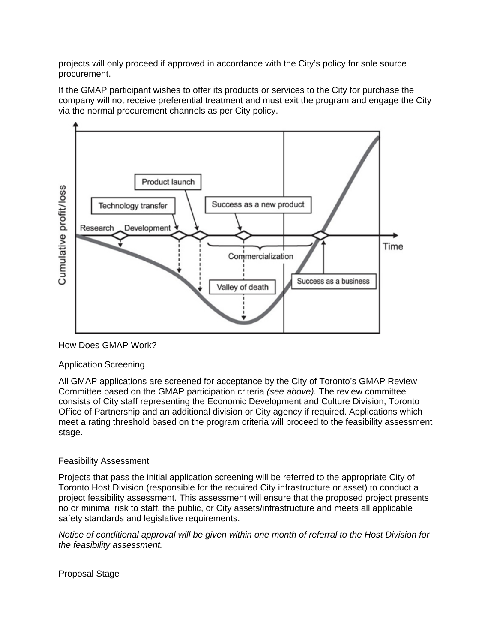projects will only proceed if approved in accordance with the City's policy for sole source procurement.

If the GMAP participant wishes to offer its products or services to the City for purchase the company will not receive preferential treatment and must exit the program and engage the City via the normal procurement channels as per City policy.



# How Does GMAP Work?

# Application Screening

All GMAP applications are screened for acceptance by the City of Toronto's GMAP Review Committee based on the GMAP participation criteria *(see above).* The review committee consists of City staff representing the Economic Development and Culture Division, Toronto Office of Partnership and an additional division or City agency if required. Applications which meet a rating threshold based on the program criteria will proceed to the feasibility assessment stage.

# Feasibility Assessment

Projects that pass the initial application screening will be referred to the appropriate City of Toronto Host Division (responsible for the required City infrastructure or asset) to conduct a project feasibility assessment. This assessment will ensure that the proposed project presents no or minimal risk to staff, the public, or City assets/infrastructure and meets all applicable safety standards and legislative requirements.

*Notice of conditional approval will be given within one month of referral to the Host Division for the feasibility assessment.*

Proposal Stage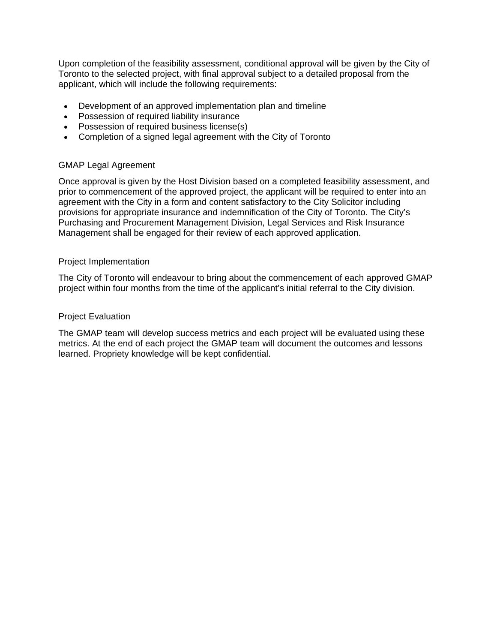Upon completion of the feasibility assessment, conditional approval will be given by the City of Toronto to the selected project, with final approval subject to a detailed proposal from the applicant, which will include the following requirements:

- Development of an approved implementation plan and timeline
- Possession of required liability insurance
- Possession of required business license(s)
- Completion of a signed legal agreement with the City of Toronto

# GMAP Legal Agreement

Once approval is given by the Host Division based on a completed feasibility assessment, and prior to commencement of the approved project, the applicant will be required to enter into an agreement with the City in a form and content satisfactory to the City Solicitor including provisions for appropriate insurance and indemnification of the City of Toronto. The City's Purchasing and Procurement Management Division, Legal Services and Risk Insurance Management shall be engaged for their review of each approved application.

# Project Implementation

The City of Toronto will endeavour to bring about the commencement of each approved GMAP project within four months from the time of the applicant's initial referral to the City division.

# Project Evaluation

The GMAP team will develop success metrics and each project will be evaluated using these metrics. At the end of each project the GMAP team will document the outcomes and lessons learned. Propriety knowledge will be kept confidential.